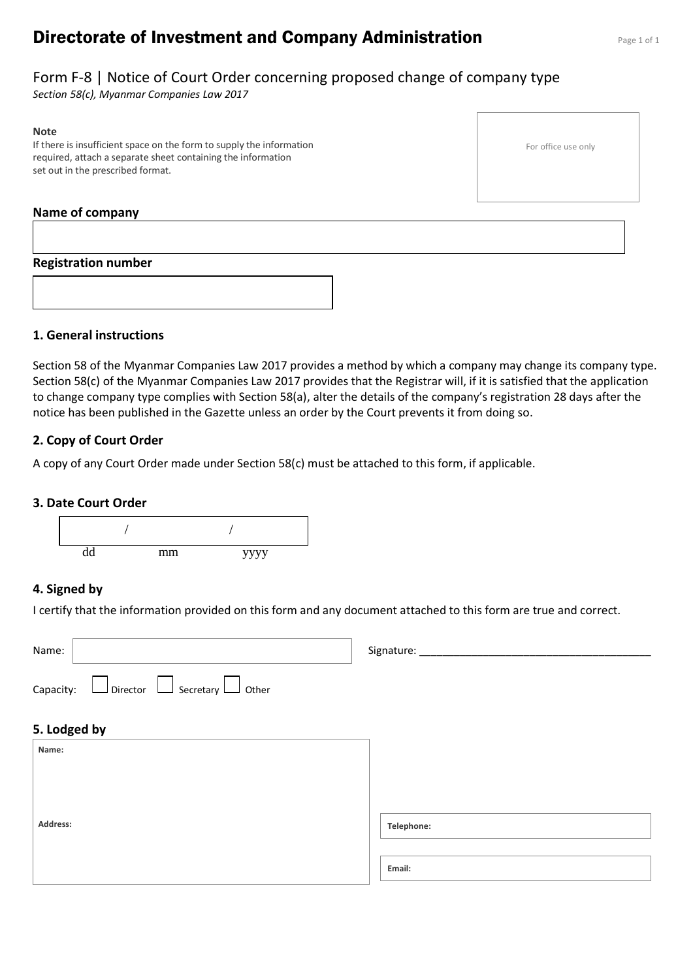# **Directorate of Investment and Company Administration** Page 1 of 1

## Form F-8 | Notice of Court Order concerning proposed change of company type

*Section 58(c), Myanmar Companies Law 2017*

#### **Note**

If there is insufficient space on the form to supply the information required, attach a separate sheet containing the information set out in the prescribed format.

#### **Name of company**

#### **Registration number**

**1. General instructions**

Section 58 of the Myanmar Companies Law 2017 provides a method by which a company may change its company type. Section 58(c) of the Myanmar Companies Law 2017 provides that the Registrar will, if it is satisfied that the application to change company type complies with Section 58(a), alter the details of the company's registration 28 days after the notice has been published in the Gazette unless an order by the Court prevents it from doing so.

#### **2. Copy of Court Order**

A copy of any Court Order made under Section 58(c) must be attached to this form, if applicable.

#### **3. Date Court Order**



#### **4. Signed by**

I certify that the information provided on this form and any document attached to this form are true and correct.

| Name:                                                      | Signature: _____ |
|------------------------------------------------------------|------------------|
| $\Box$ Director $\Box$ Secretary $\Box$ Other<br>Capacity: |                  |
| 5. Lodged by                                               |                  |
| Name:                                                      |                  |
|                                                            |                  |
|                                                            |                  |
| Address:                                                   | Telephone:       |
|                                                            | Email:           |
|                                                            |                  |

For office use only